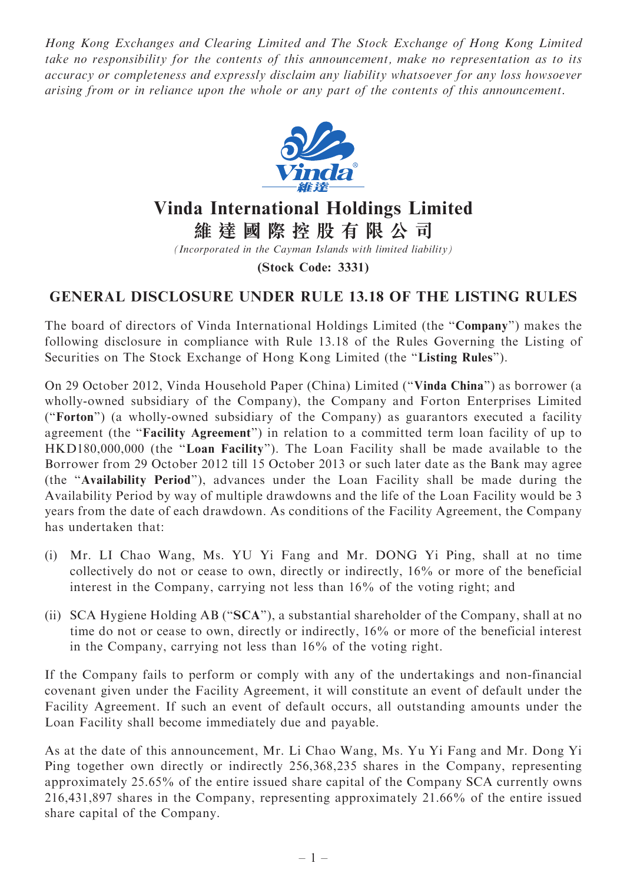Hong Kong Exchanges and Clearing Limited and The Stock Exchange of Hong Kong Limited take no responsibility for the contents of this announcement, make no representation as to its accuracy or completeness and expressly disclaim any liability whatsoever for any loss howsoever arising from or in reliance upon the whole or any part of the contents of this announcement.



## Vinda International Holdings Limited

維 達 國 際 控 股 有 限 公 司

(Incorporated in the Cayman Islands with limited liability)

(Stock Code: 3331)

## GENERAL DISCLOSURE UNDER RULE 13.18 OF THE LISTING RULES

The board of directors of Vinda International Holdings Limited (the ''Company'') makes the following disclosure in compliance with Rule 13.18 of the Rules Governing the Listing of Securities on The Stock Exchange of Hong Kong Limited (the ''Listing Rules'').

On 29 October 2012, Vinda Household Paper (China) Limited (''Vinda China'') as borrower (a wholly-owned subsidiary of the Company), the Company and Forton Enterprises Limited (''Forton'') (a wholly-owned subsidiary of the Company) as guarantors executed a facility agreement (the "Facility Agreement") in relation to a committed term loan facility of up to HKD180,000,000 (the "Loan Facility"). The Loan Facility shall be made available to the Borrower from 29 October 2012 till 15 October 2013 or such later date as the Bank may agree (the ''Availability Period''), advances under the Loan Facility shall be made during the Availability Period by way of multiple drawdowns and the life of the Loan Facility would be 3 years from the date of each drawdown. As conditions of the Facility Agreement, the Company has undertaken that:

- (i) Mr. LI Chao Wang, Ms. YU Yi Fang and Mr. DONG Yi Ping, shall at no time collectively do not or cease to own, directly or indirectly, 16% or more of the beneficial interest in the Company, carrying not less than 16% of the voting right; and
- (ii) SCA Hygiene Holding AB (''SCA''), a substantial shareholder of the Company, shall at no time do not or cease to own, directly or indirectly, 16% or more of the beneficial interest in the Company, carrying not less than 16% of the voting right.

If the Company fails to perform or comply with any of the undertakings and non-financial covenant given under the Facility Agreement, it will constitute an event of default under the Facility Agreement. If such an event of default occurs, all outstanding amounts under the Loan Facility shall become immediately due and payable.

As at the date of this announcement, Mr. Li Chao Wang, Ms. Yu Yi Fang and Mr. Dong Yi Ping together own directly or indirectly 256,368,235 shares in the Company, representing approximately 25.65% of the entire issued share capital of the Company SCA currently owns 216,431,897 shares in the Company, representing approximately 21.66% of the entire issued share capital of the Company.